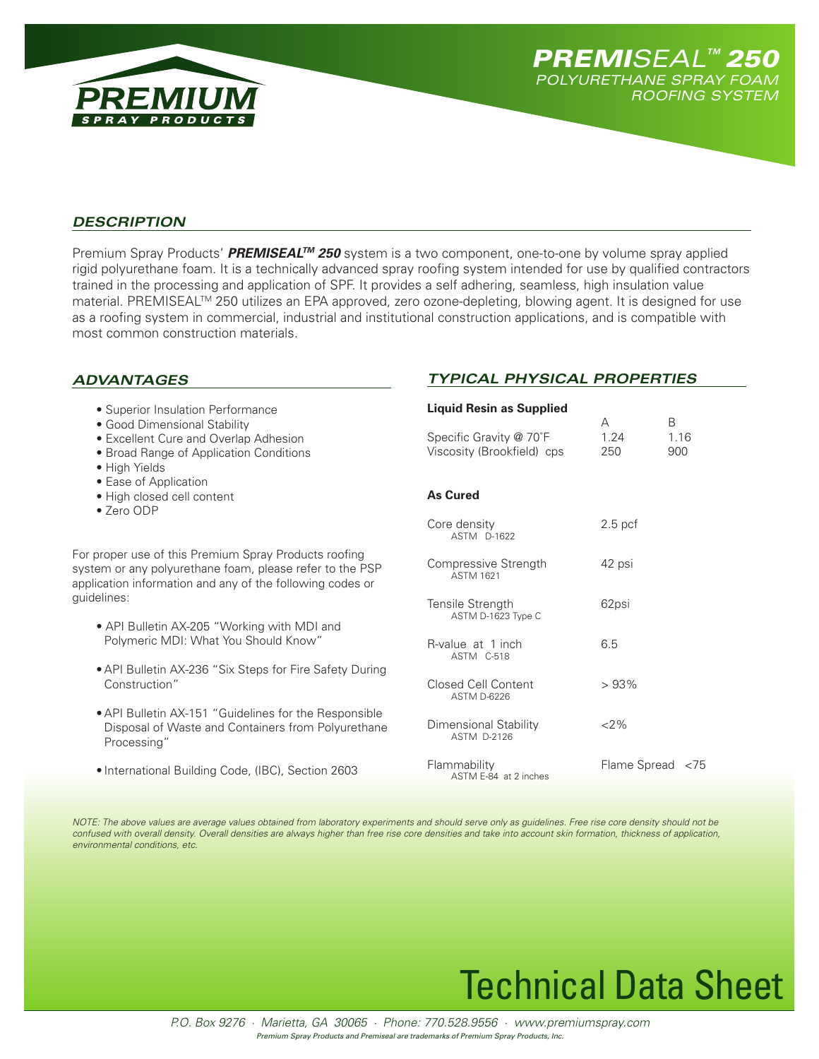

*Typical Physical Properties*

## *Description*

Premium Spray Products' *PREMISEALTM 250* system is a two component, one-to-one by volume spray applied rigid polyurethane foam. It is a technically advanced spray roofing system intended for use by qualified contractors trained in the processing and application of SPF. It provides a self adhering, seamless, high insulation value material. PREMISEAL™ 250 utilizes an EPA approved, zero ozone-depleting, blowing agent. It is designed for use as a roofing system in commercial, industrial and institutional construction applications, and is compatible with most common construction materials.

## *Advantages*

| • Superior Insulation Performance<br>• Good Dimensional Stability                                                                                                              | <b>Liquid Resin as Supplied</b>                    | A                | B    |
|--------------------------------------------------------------------------------------------------------------------------------------------------------------------------------|----------------------------------------------------|------------------|------|
| <b>•</b> Excellent Cure and Overlap Adhesion                                                                                                                                   | Specific Gravity @ 70°F                            | 1.24             | 1.16 |
| • Broad Range of Application Conditions<br>• High Yields                                                                                                                       | Viscosity (Brookfield) cps                         | 250              | 900  |
| • Ease of Application                                                                                                                                                          |                                                    |                  |      |
| • High closed cell content<br>• Zero ODP                                                                                                                                       | <b>As Cured</b>                                    |                  |      |
|                                                                                                                                                                                | Core density<br>ASTM D-1622                        | $2.5$ pcf        |      |
| For proper use of this Premium Spray Products roofing<br>system or any polyurethane foam, please refer to the PSP<br>application information and any of the following codes or | Compressive Strength<br><b>ASTM 1621</b>           | 42 psi           |      |
| guidelines:                                                                                                                                                                    | Tensile Strength<br>ASTM D-1623 Type C             | 62psi            |      |
| • API Bulletin AX-205 "Working with MDI and                                                                                                                                    |                                                    |                  |      |
| Polymeric MDI: What You Should Know"                                                                                                                                           | R-value at 1 inch<br>ASTM C-518                    | 6.5              |      |
| • API Bulletin AX-236 "Six Steps for Fire Safety During                                                                                                                        |                                                    |                  |      |
| Construction"                                                                                                                                                                  | Closed Cell Content<br><b>ASTM D-6226</b>          | >93%             |      |
| • API Bulletin AX-151 "Guidelines for the Responsible<br>Disposal of Waste and Containers from Polyurethane<br>Processing"                                                     | <b>Dimensional Stability</b><br><b>ASTM D-2126</b> | $2\%$            |      |
| • International Building Code, (IBC), Section 2603                                                                                                                             | Flammability<br>$A C T A E Q A + 2 in a h a a$     | Flame Spread <75 |      |

*Note: The above values are average values obtained from laboratory experiments and should serve only as guidelines. Free rise core density should not be confused with overall density. Overall densities are always higher than free rise core densities and take into account skin formation, thickness of application, environmental conditions, etc.*

ASTM E-84 at 2 inches

# Technical Data Sheet